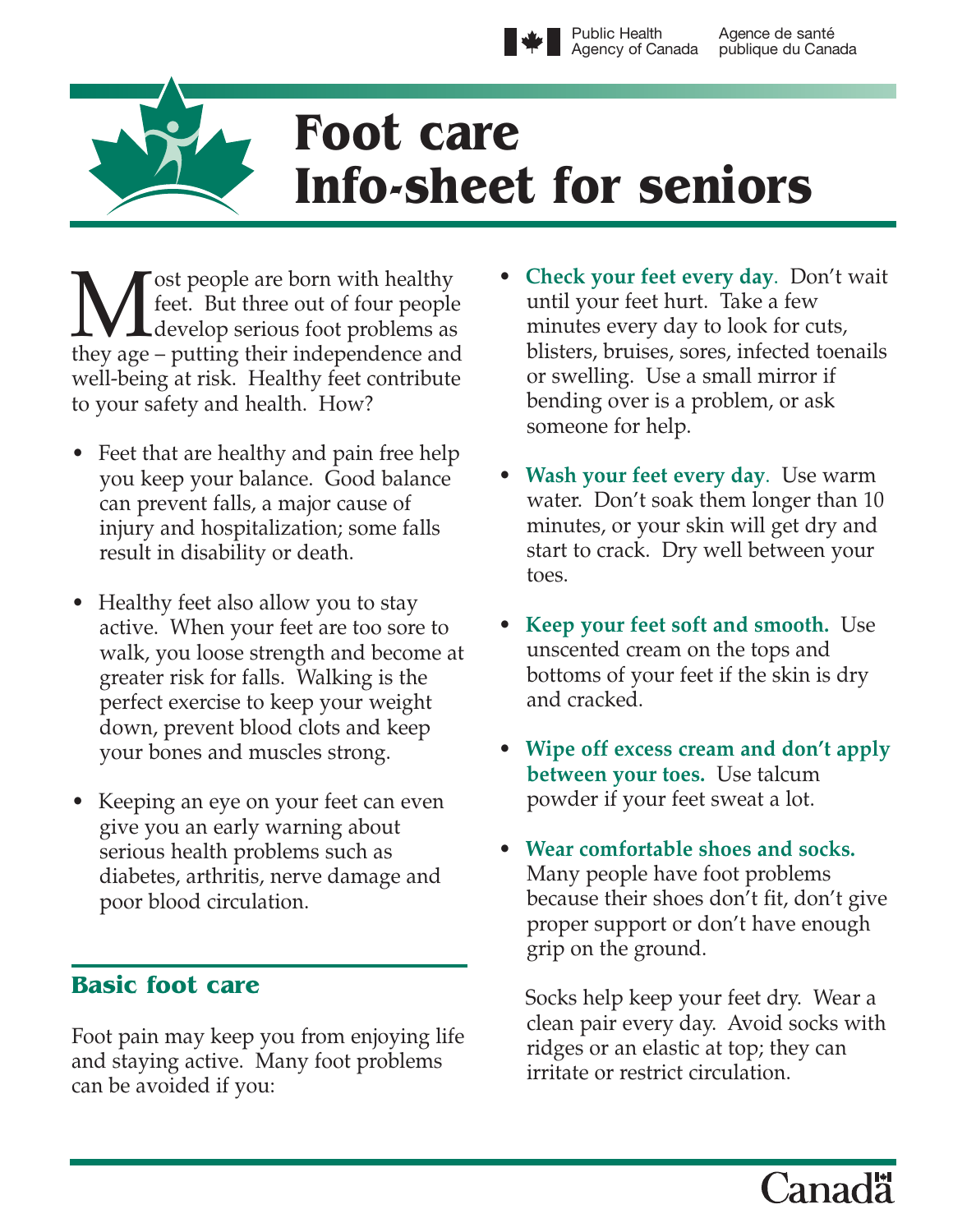

# **Foot care Info-sheet for seniors**

**M** ost people are born with healthy<br>feet. But three out of four people<br>develop serious foot problems as feet. But three out of four people they age – putting their independence and well-being at risk. Healthy feet contribute to your safety and health. How?

- Feet that are healthy and pain free help you keep your balance. Good balance can prevent falls, a major cause of injury and hospitalization; some falls result in disability or death.
- Healthy feet also allow you to stay active. When your feet are too sore to walk, you loose strength and become at greater risk for falls. Walking is the perfect exercise to keep your weight down, prevent blood clots and keep your bones and muscles strong.
- Keeping an eye on your feet can even give you an early warning about serious health problems such as diabetes, arthritis, nerve damage and poor blood circulation.

## **Basic foot care**

Foot pain may keep you from enjoying life and staying active. Many foot problems can be avoided if you:

- **Check your feet every day**. Don't wait until your feet hurt. Take a few minutes every day to look for cuts, blisters, bruises, sores, infected toenails or swelling. Use a small mirror if bending over is a problem, or ask someone for help.
- **Wash your feet every day**. Use warm water. Don't soak them longer than 10 minutes, or your skin will get dry and start to crack. Dry well between your toes.
- **Keep your feet soft and smooth.** Use unscented cream on the tops and bottoms of your feet if the skin is dry and cracked.
- **Wipe off excess cream and don't apply between your toes.** Use talcum powder if your feet sweat a lot.
- **Wear comfortable shoes and socks.** Many people have foot problems because their shoes don't fit, don't give proper support or don't have enough grip on the ground.

Socks help keep your feet dry. Wear a clean pair every day. Avoid socks with ridges or an elastic at top; they can irritate or restrict circulation.

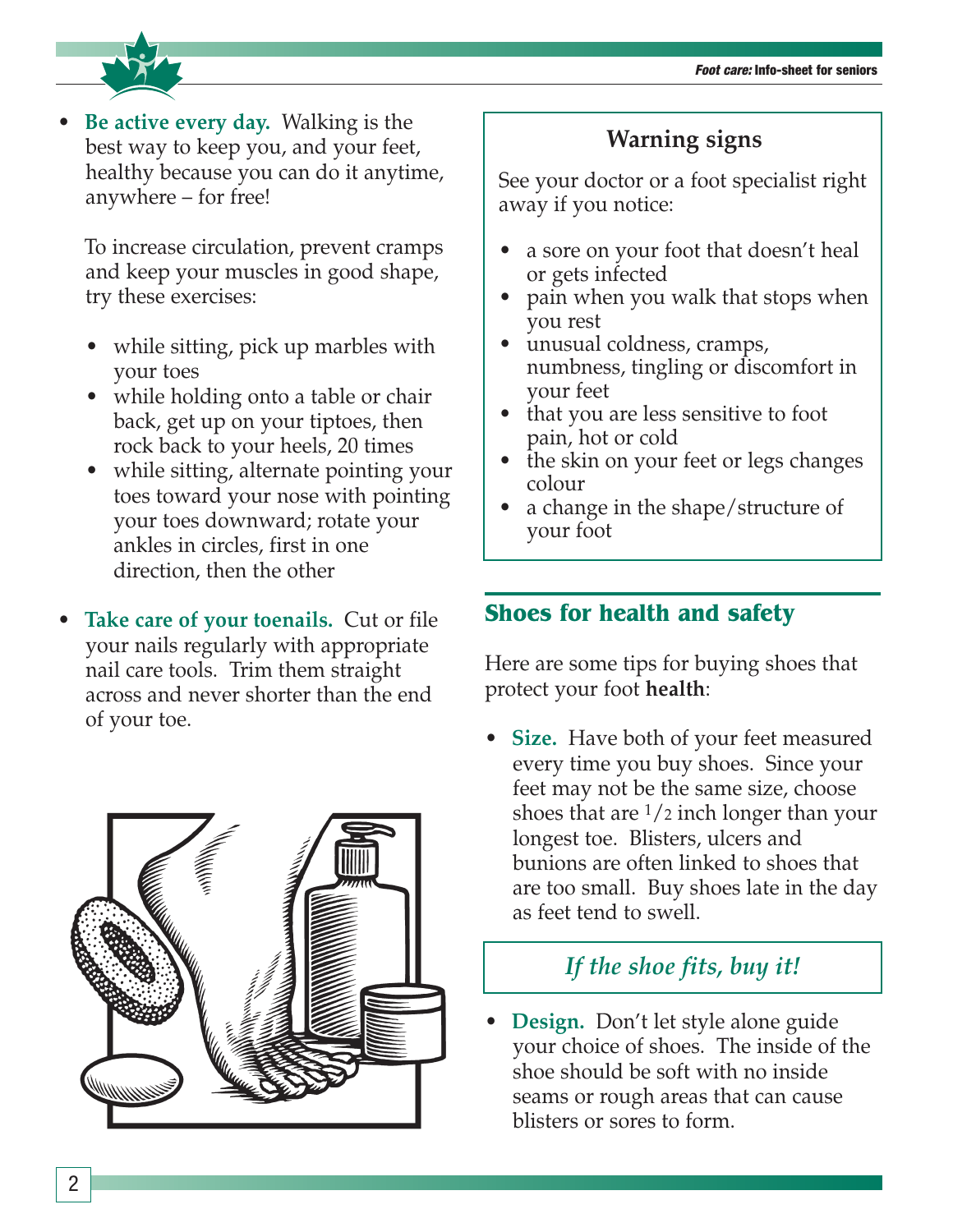

• **Be active every day.** Walking is the best way to keep you, and your feet, healthy because you can do it anytime, anywhere – for free!

To increase circulation, prevent cramps and keep your muscles in good shape, try these exercises:

- while sitting, pick up marbles with your toes
- while holding onto a table or chair back, get up on your tiptoes, then rock back to your heels, 20 times
- while sitting, alternate pointing your toes toward your nose with pointing your toes downward; rotate your ankles in circles, first in one direction, then the other
- **Take care of your toenails.** Cut or file your nails regularly with appropriate nail care tools. Trim them straight across and never shorter than the end of your toe.



## **Warning signs**

See your doctor or a foot specialist right away if you notice:

- a sore on your foot that doesn't heal or gets infected
- pain when you walk that stops when you rest
- unusual coldness, cramps, numbness, tingling or discomfort in your feet
- that you are less sensitive to foot pain, hot or cold
- the skin on your feet or legs changes colour
- a change in the shape/structure of your foot

## **Shoes for health and safety**

Here are some tips for buying shoes that protect your foot **health**:

• **Size.** Have both of your feet measured every time you buy shoes. Since your feet may not be the same size, choose shoes that are  $\frac{1}{2}$  inch longer than your longest toe. Blisters, ulcers and bunions are often linked to shoes that are too small. Buy shoes late in the day as feet tend to swell.

## *If the shoe fits, buy it!*

• **Design.** Don't let style alone guide your choice of shoes. The inside of the shoe should be soft with no inside seams or rough areas that can cause blisters or sores to form.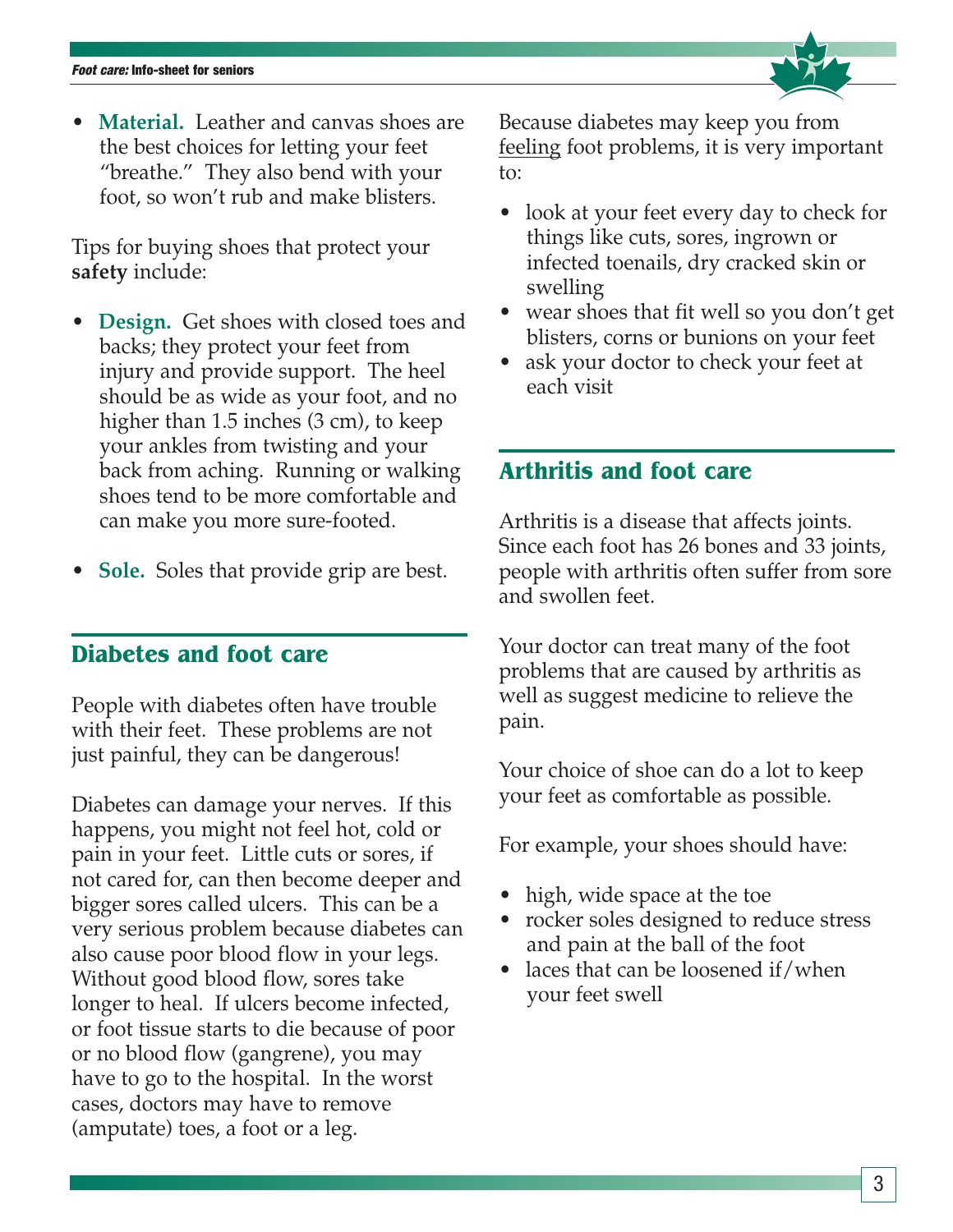• **Material.** Leather and canvas shoes are the best choices for letting your feet "breathe." They also bend with your foot, so won't rub and make blisters.

Tips for buying shoes that protect your **safety** include:

- **Design.** Get shoes with closed toes and backs; they protect your feet from injury and provide support. The heel should be as wide as your foot, and no higher than 1.5 inches (3 cm), to keep your ankles from twisting and your back from aching. Running or walking shoes tend to be more comfortable and can make you more sure-footed.
- **Sole.** Soles that provide grip are best.

#### **Diabetes and foot care**

People with diabetes often have trouble with their feet. These problems are not just painful, they can be dangerous!

Diabetes can damage your nerves. If this happens, you might not feel hot, cold or pain in your feet. Little cuts or sores, if not cared for, can then become deeper and bigger sores called ulcers. This can be a very serious problem because diabetes can also cause poor blood flow in your legs. Without good blood flow, sores take longer to heal. If ulcers become infected, or foot tissue starts to die because of poor or no blood flow (gangrene), you may have to go to the hospital. In the worst cases, doctors may have to remove (amputate) toes, a foot or a leg.

Because diabetes may keep you from feeling foot problems, it is very important to:

- look at your feet every day to check for things like cuts, sores, ingrown or infected toenails, dry cracked skin or swelling
- wear shoes that fit well so you don't get blisters, corns or bunions on your feet
- ask your doctor to check your feet at each visit

### **Arthritis and foot care**

Arthritis is a disease that affects joints. Since each foot has 26 bones and 33 joints, people with arthritis often suffer from sore and swollen feet.

Your doctor can treat many of the foot problems that are caused by arthritis as well as suggest medicine to relieve the pain.

Your choice of shoe can do a lot to keep your feet as comfortable as possible.

For example, your shoes should have:

- high, wide space at the toe
- rocker soles designed to reduce stress and pain at the ball of the foot
- laces that can be loosened if/when your feet swell